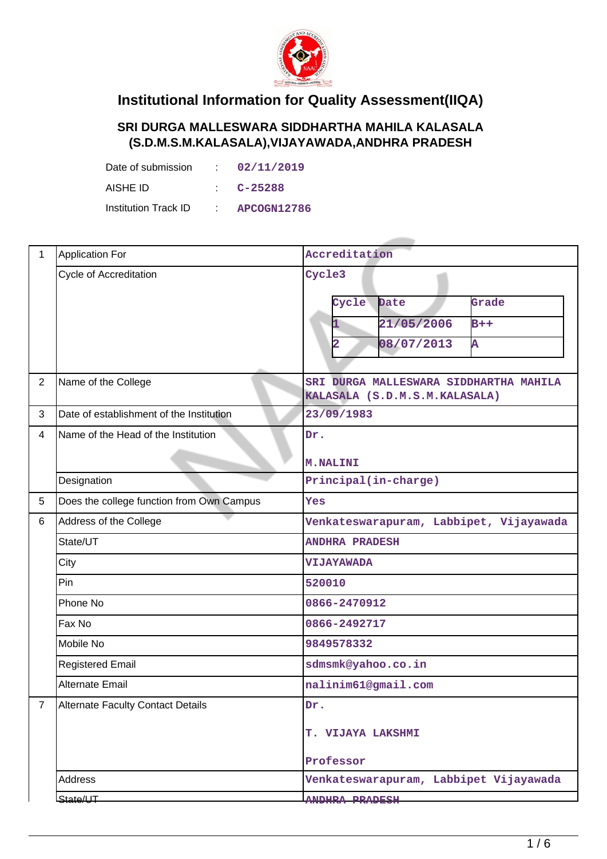

## **Institutional Information for Quality Assessment(IIQA)**

## **SRI DURGA MALLESWARA SIDDHARTHA MAHILA KALASALA (S.D.M.S.M.KALASALA),VIJAYAWADA,ANDHRA PRADESH**

| Date of submission   | i Tan        | 02/11/2019         |
|----------------------|--------------|--------------------|
| AISHE ID             |              | C-25288            |
| Institution Track ID | <b>COLLA</b> | <b>APCOGN12786</b> |

| $\mathbf{1}$   | <b>Application For</b>                    | Accreditation                                                           |  |  |  |  |
|----------------|-------------------------------------------|-------------------------------------------------------------------------|--|--|--|--|
|                | Cycle of Accreditation                    | Cycle3                                                                  |  |  |  |  |
|                |                                           | Cycle<br>Date<br>Grade                                                  |  |  |  |  |
|                |                                           | 21/05/2006<br>$B++$                                                     |  |  |  |  |
|                |                                           | 08/07/2013<br>Ā<br>$\overline{\mathbf{2}}$                              |  |  |  |  |
|                |                                           |                                                                         |  |  |  |  |
| $\overline{2}$ | Name of the College                       | SRI DURGA MALLESWARA SIDDHARTHA MAHILA<br>KALASALA (S.D.M.S.M.KALASALA) |  |  |  |  |
| 3              | Date of establishment of the Institution  | 23/09/1983                                                              |  |  |  |  |
| $\overline{4}$ | Name of the Head of the Institution       | Dr.                                                                     |  |  |  |  |
|                |                                           | <b>M.NALINI</b>                                                         |  |  |  |  |
|                | Designation                               | Principal(in-charge)                                                    |  |  |  |  |
| 5              | Does the college function from Own Campus | Yes                                                                     |  |  |  |  |
| 6              | Address of the College                    | Venkateswarapuram, Labbipet, Vijayawada                                 |  |  |  |  |
|                | State/UT                                  | <b>ANDHRA PRADESH</b>                                                   |  |  |  |  |
|                | City                                      | VIJAYAWADA                                                              |  |  |  |  |
|                | Pin                                       | 520010                                                                  |  |  |  |  |
|                | Phone No                                  | 0866-2470912                                                            |  |  |  |  |
|                | Fax No                                    | 0866-2492717                                                            |  |  |  |  |
|                | Mobile No                                 | 9849578332                                                              |  |  |  |  |
|                | <b>Registered Email</b>                   | sdmsmk@yahoo.co.in                                                      |  |  |  |  |
|                | <b>Alternate Email</b>                    | nalinim61@gmail.com                                                     |  |  |  |  |
| 7              | Alternate Faculty Contact Details         | Dr.                                                                     |  |  |  |  |
|                |                                           | T. VIJAYA LAKSHMI                                                       |  |  |  |  |
|                |                                           | Professor                                                               |  |  |  |  |
|                | Address                                   | Venkateswarapuram, Labbipet Vijayawada                                  |  |  |  |  |
|                | State/UT                                  | ANDHRA PRADESH                                                          |  |  |  |  |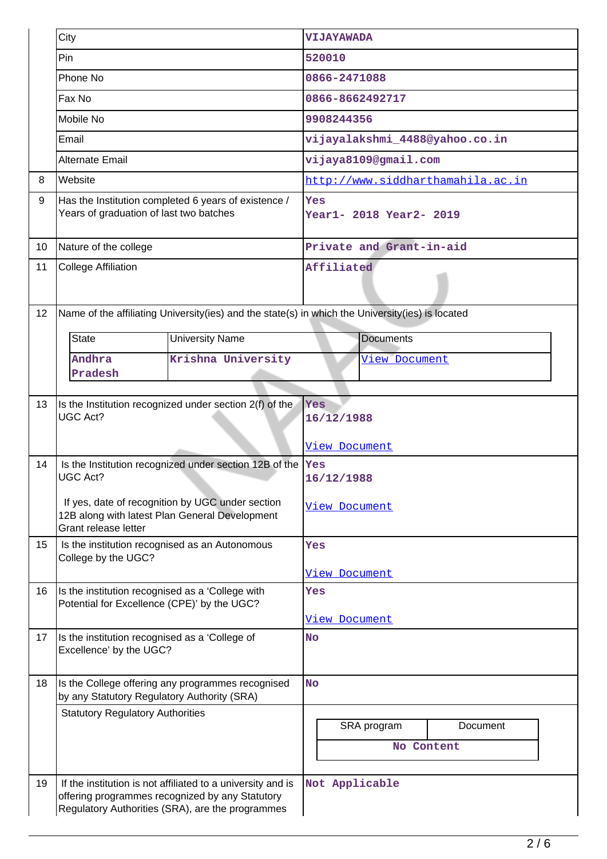|    | City                                                                                                                       |                                                                                                                                                                    | <b>VIJAYAWADA</b>                  |                           |                                   |  |  |
|----|----------------------------------------------------------------------------------------------------------------------------|--------------------------------------------------------------------------------------------------------------------------------------------------------------------|------------------------------------|---------------------------|-----------------------------------|--|--|
|    | Pin                                                                                                                        |                                                                                                                                                                    | 520010                             |                           |                                   |  |  |
|    | Phone No                                                                                                                   | 0866-2471088                                                                                                                                                       |                                    |                           |                                   |  |  |
|    | Fax No                                                                                                                     |                                                                                                                                                                    | 0866-8662492717                    |                           |                                   |  |  |
|    | Mobile No                                                                                                                  |                                                                                                                                                                    | 9908244356                         |                           |                                   |  |  |
|    | Email                                                                                                                      |                                                                                                                                                                    |                                    |                           | vijayalakshmi_4488@yahoo.co.in    |  |  |
|    | Alternate Email                                                                                                            |                                                                                                                                                                    |                                    | vijaya8109@gmail.com      |                                   |  |  |
| 8  | Website                                                                                                                    |                                                                                                                                                                    |                                    |                           | http://www.siddharthamahila.ac.in |  |  |
| 9  | Years of graduation of last two batches                                                                                    | Has the Institution completed 6 years of existence /                                                                                                               | Yes<br>Year1- 2018 Year2- 2019     |                           |                                   |  |  |
| 10 | Nature of the college                                                                                                      |                                                                                                                                                                    |                                    | Private and Grant-in-aid  |                                   |  |  |
| 11 | <b>College Affiliation</b>                                                                                                 | Affiliated                                                                                                                                                         |                                    |                           |                                   |  |  |
| 12 |                                                                                                                            | Name of the affiliating University(ies) and the state(s) in which the University(ies) is located                                                                   |                                    |                           |                                   |  |  |
|    | <b>State</b>                                                                                                               | <b>University Name</b>                                                                                                                                             |                                    | <b>Documents</b>          |                                   |  |  |
|    | Andhra<br>Pradesh                                                                                                          | Krishna University                                                                                                                                                 |                                    | <u>View Document</u>      |                                   |  |  |
| 13 | UGC Act?                                                                                                                   | Is the Institution recognized under section 2(f) of the                                                                                                            | Yes<br>16/12/1988<br>View Document |                           |                                   |  |  |
| 14 | Is the Institution recognized under section 12B of the $\sqrt{\ }$ es<br><b>UGC Act?</b>                                   | 16/12/1988                                                                                                                                                         |                                    |                           |                                   |  |  |
|    | If yes, date of recognition by UGC under section<br>12B along with latest Plan General Development<br>Grant release letter | View Document                                                                                                                                                      |                                    |                           |                                   |  |  |
| 15 | Is the institution recognised as an Autonomous<br>College by the UGC?                                                      | Yes                                                                                                                                                                |                                    |                           |                                   |  |  |
|    |                                                                                                                            |                                                                                                                                                                    | View Document                      |                           |                                   |  |  |
| 16 | Is the institution recognised as a 'College with<br>Potential for Excellence (CPE)' by the UGC?                            |                                                                                                                                                                    | Yes<br><u>View Document</u>        |                           |                                   |  |  |
| 17 | Is the institution recognised as a 'College of<br>Excellence' by the UGC?                                                  | <b>No</b>                                                                                                                                                          |                                    |                           |                                   |  |  |
| 18 | Is the College offering any programmes recognised<br>by any Statutory Regulatory Authority (SRA)                           |                                                                                                                                                                    |                                    | <b>No</b>                 |                                   |  |  |
|    | <b>Statutory Regulatory Authorities</b>                                                                                    |                                                                                                                                                                    |                                    | SRA program<br>No Content | Document                          |  |  |
| 19 |                                                                                                                            | If the institution is not affiliated to a university and is<br>offering programmes recognized by any Statutory<br>Regulatory Authorities (SRA), are the programmes | Not Applicable                     |                           |                                   |  |  |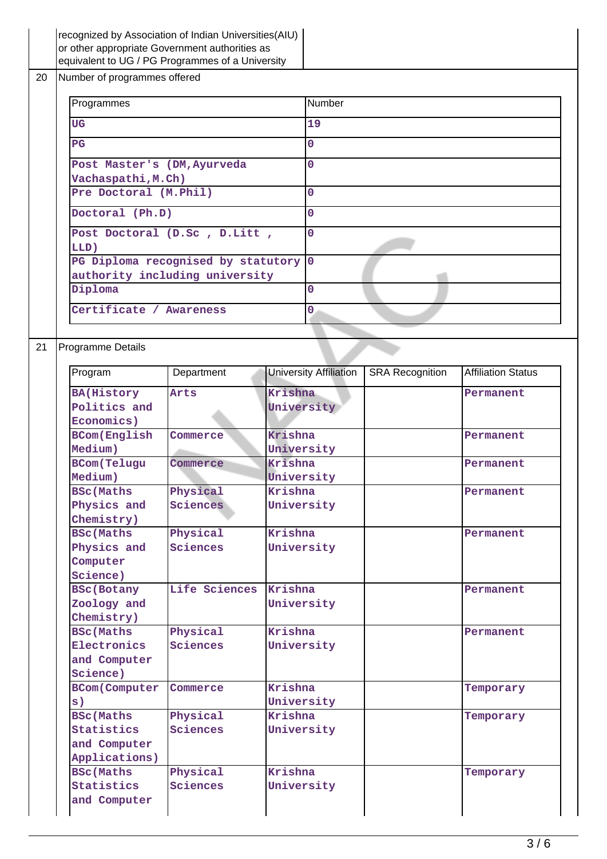|    |                              |                                 | recognized by Association of Indian Universities (AIU)<br>or other appropriate Government authorities as<br>equivalent to UG / PG Programmes of a University |         |                               |                        |                           |
|----|------------------------------|---------------------------------|--------------------------------------------------------------------------------------------------------------------------------------------------------------|---------|-------------------------------|------------------------|---------------------------|
| 20 | Number of programmes offered |                                 |                                                                                                                                                              |         |                               |                        |                           |
|    | Programmes                   |                                 |                                                                                                                                                              | Number  |                               |                        |                           |
|    |                              | <b>UG</b>                       |                                                                                                                                                              |         | 19                            |                        |                           |
|    |                              | PG                              |                                                                                                                                                              |         | 0                             |                        |                           |
|    |                              | Post Master's (DM, Ayurveda     |                                                                                                                                                              |         | $\overline{0}$                |                        |                           |
|    |                              | Vachaspathi, M.Ch)              |                                                                                                                                                              |         |                               |                        |                           |
|    |                              | Pre Doctoral (M.Phil)           |                                                                                                                                                              |         | $\Omega$                      |                        |                           |
|    |                              | Doctoral (Ph.D)                 |                                                                                                                                                              |         | $\overline{0}$                |                        |                           |
|    |                              | LLD)                            | Post Doctoral (D.Sc , D.Litt ,                                                                                                                               |         | $\mathbf 0$                   |                        |                           |
|    |                              |                                 | PG Diploma recognised by statutory 0                                                                                                                         |         |                               |                        |                           |
|    |                              |                                 | authority including university                                                                                                                               |         |                               |                        |                           |
|    |                              | Diploma                         |                                                                                                                                                              |         | $\Omega$                      |                        |                           |
|    |                              | Certificate / Awareness         |                                                                                                                                                              |         | 0                             |                        |                           |
|    |                              |                                 |                                                                                                                                                              |         |                               |                        |                           |
| 21 |                              | Programme Details               |                                                                                                                                                              |         |                               |                        |                           |
|    |                              | Program                         | Department                                                                                                                                                   |         | <b>University Affiliation</b> | <b>SRA</b> Recognition | <b>Affiliation Status</b> |
|    |                              | <b>BA(History</b>               | Arts                                                                                                                                                         | Krishna |                               |                        | Permanent                 |
|    |                              | Politics and                    |                                                                                                                                                              |         | University                    |                        |                           |
|    |                              | Economics)                      |                                                                                                                                                              |         |                               |                        |                           |
|    |                              | <b>BCom</b> (English<br>Medium) | Commerce                                                                                                                                                     | Krishna | University                    |                        | Permanent                 |
|    |                              | <b>BCom(Telugu</b>              | Commerce                                                                                                                                                     | Krishna |                               |                        | Permanent                 |
|    |                              | Medium)                         |                                                                                                                                                              |         | University                    |                        |                           |
|    |                              | <b>BSc(Maths</b>                | Physical                                                                                                                                                     | Krishna |                               |                        | Permanent                 |
|    |                              | Physics and                     | Sciences                                                                                                                                                     |         | University                    |                        |                           |
|    |                              | Chemistry)                      |                                                                                                                                                              | Krishna |                               |                        |                           |
|    |                              | <b>BSc(Maths</b><br>Physics and | Physical<br>Sciences                                                                                                                                         |         |                               |                        | Permanent                 |
|    |                              | Computer                        |                                                                                                                                                              |         | University                    |                        |                           |
|    |                              | Science)                        |                                                                                                                                                              |         |                               |                        |                           |
|    |                              | <b>BSc(Botany</b>               | Life Sciences                                                                                                                                                | Krishna |                               |                        | Permanent                 |
|    |                              | Zoology and                     |                                                                                                                                                              |         | University                    |                        |                           |
|    |                              | Chemistry)                      |                                                                                                                                                              |         |                               |                        |                           |
|    |                              | <b>BSc(Maths</b>                | Physical                                                                                                                                                     | Krishna |                               |                        | Permanent                 |
|    |                              | Electronics                     | Sciences                                                                                                                                                     |         | University                    |                        |                           |
|    |                              | and Computer                    |                                                                                                                                                              |         |                               |                        |                           |
|    |                              | Science)                        |                                                                                                                                                              |         |                               |                        |                           |
|    |                              | <b>BCom(Computer</b>            | Commerce                                                                                                                                                     | Krishna |                               |                        | Temporary                 |
|    |                              | s)                              |                                                                                                                                                              |         | University                    |                        |                           |
|    |                              | <b>BSc</b> (Maths               | Physical                                                                                                                                                     | Krishna |                               |                        | Temporary                 |
|    |                              | Statistics                      | Sciences                                                                                                                                                     |         | University                    |                        |                           |
|    |                              | and Computer                    |                                                                                                                                                              |         |                               |                        |                           |
|    |                              | Applications)                   |                                                                                                                                                              | Krishna |                               |                        |                           |
|    |                              | <b>BSc(Maths</b><br>Statistics  | Physical<br>Sciences                                                                                                                                         |         | University                    |                        | Temporary                 |
|    |                              |                                 |                                                                                                                                                              |         |                               |                        |                           |
|    |                              | and Computer                    |                                                                                                                                                              |         |                               |                        |                           |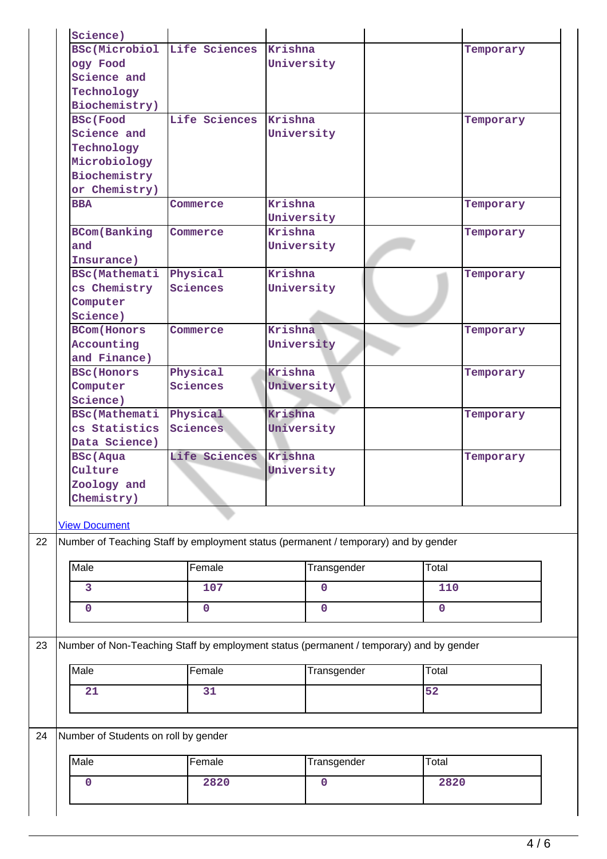| Science)                             |                                                                                         |             |             |             |       |           |  |
|--------------------------------------|-----------------------------------------------------------------------------------------|-------------|-------------|-------------|-------|-----------|--|
| <b>BSc(Microbiol</b>                 | Life Sciences                                                                           | Krishna     |             |             |       | Temporary |  |
| ogy Food                             |                                                                                         | University  |             |             |       |           |  |
| Science and                          |                                                                                         |             |             |             |       |           |  |
| Technology                           |                                                                                         |             |             |             |       |           |  |
| Biochemistry)                        |                                                                                         |             |             |             |       |           |  |
| <b>BSc</b> (Food                     | Life Sciences                                                                           | Krishna     |             |             |       | Temporary |  |
| Science and                          |                                                                                         | University  |             |             |       |           |  |
| Technology                           |                                                                                         |             |             |             |       |           |  |
| Microbiology                         |                                                                                         |             |             |             |       |           |  |
| Biochemistry                         |                                                                                         |             |             |             |       |           |  |
| or Chemistry)                        |                                                                                         |             |             |             |       |           |  |
| <b>BBA</b>                           | Commerce                                                                                | Krishna     |             |             |       | Temporary |  |
|                                      |                                                                                         | University  |             |             |       |           |  |
| <b>BCom</b> (Banking                 | Commerce                                                                                | Krishna     |             |             |       | Temporary |  |
| and                                  |                                                                                         | University  |             |             |       |           |  |
| Insurance)                           |                                                                                         |             |             |             |       |           |  |
| <b>BSc(Mathemati</b>                 | Physical                                                                                | Krishna     |             |             |       | Temporary |  |
| cs Chemistry                         | Sciences                                                                                | University  |             |             |       |           |  |
| Computer                             |                                                                                         |             |             |             |       |           |  |
| Science)                             |                                                                                         |             |             |             |       |           |  |
| <b>BCom</b> (Honors                  | Commerce                                                                                | Krishna     |             |             |       | Temporary |  |
| Accounting                           |                                                                                         | University  |             |             |       |           |  |
| and Finance)                         |                                                                                         |             |             |             |       |           |  |
| <b>BSc</b> (Honors                   | Physical                                                                                | Krishna     |             |             |       | Temporary |  |
| Computer                             | Sciences                                                                                |             | University  |             |       |           |  |
| Science)                             |                                                                                         |             |             |             |       |           |  |
| <b>BSc(Mathemati</b>                 | Physical                                                                                | Krishna     |             |             |       | Temporary |  |
| cs Statistics                        | <b>Sciences</b>                                                                         | University  |             |             |       |           |  |
| Data Science)                        |                                                                                         |             |             |             |       |           |  |
| <b>BSc</b> (Aqua                     | Life Sciences                                                                           | Krishna     |             |             |       | Temporary |  |
| Culture                              |                                                                                         | University  |             |             |       |           |  |
| Zoology and                          |                                                                                         |             |             |             |       |           |  |
| Chemistry)                           |                                                                                         |             |             |             |       |           |  |
|                                      |                                                                                         |             |             |             |       |           |  |
| <b>View Document</b>                 |                                                                                         |             |             |             |       |           |  |
|                                      | Number of Teaching Staff by employment status (permanent / temporary) and by gender     |             |             |             |       |           |  |
| $\overline{\mathsf{Male}}$           | Female                                                                                  |             | Transgender |             | Total |           |  |
| 3                                    | 107                                                                                     |             | 0           |             | 110   |           |  |
| 0                                    | $\mathbf 0$                                                                             | $\mathbf 0$ |             | $\mathbf 0$ |       |           |  |
|                                      |                                                                                         |             |             |             |       |           |  |
|                                      | Number of Non-Teaching Staff by employment status (permanent / temporary) and by gender |             |             |             |       |           |  |
| Male                                 | Female                                                                                  |             | Transgender |             | Total |           |  |
| 21                                   | 31                                                                                      |             |             |             | 52    |           |  |
|                                      |                                                                                         |             |             |             |       |           |  |
| Number of Students on roll by gender |                                                                                         |             |             |             |       |           |  |
| Male                                 | Female                                                                                  |             | Transgender |             | Total |           |  |
| 0                                    | 2820                                                                                    |             | $\mathbf 0$ |             | 2820  |           |  |
|                                      |                                                                                         |             |             |             |       |           |  |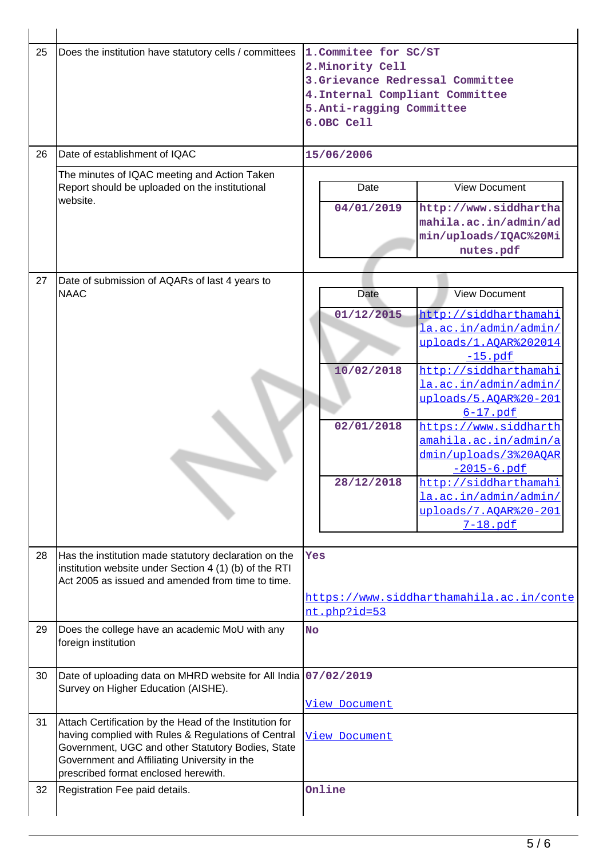| 25 | Does the institution have statutory cells / committees                                                                                                                                                                                                      | 1. Commitee for SC/ST<br>2. Minority Cell<br>3. Grievance Redressal Committee<br>4. Internal Compliant Committee<br>5.Anti-ragging Committee<br>6.OBC Cell                                                                                                                                                                                                                                                                       |  |  |  |  |
|----|-------------------------------------------------------------------------------------------------------------------------------------------------------------------------------------------------------------------------------------------------------------|----------------------------------------------------------------------------------------------------------------------------------------------------------------------------------------------------------------------------------------------------------------------------------------------------------------------------------------------------------------------------------------------------------------------------------|--|--|--|--|
| 26 | Date of establishment of IQAC                                                                                                                                                                                                                               | 15/06/2006                                                                                                                                                                                                                                                                                                                                                                                                                       |  |  |  |  |
|    | The minutes of IQAC meeting and Action Taken<br>Report should be uploaded on the institutional<br>website.                                                                                                                                                  | <b>View Document</b><br>Date<br>04/01/2019<br>http://www.siddhartha<br>mahila.ac.in/admin/ad<br>min/uploads/IQAC%20Mi<br>nutes.pdf                                                                                                                                                                                                                                                                                               |  |  |  |  |
| 27 |                                                                                                                                                                                                                                                             |                                                                                                                                                                                                                                                                                                                                                                                                                                  |  |  |  |  |
|    | Date of submission of AQARs of last 4 years to<br><b>NAAC</b>                                                                                                                                                                                               | <b>View Document</b><br><b>Date</b>                                                                                                                                                                                                                                                                                                                                                                                              |  |  |  |  |
|    |                                                                                                                                                                                                                                                             | 01/12/2015<br>http://siddharthamahi<br>la.ac.in/admin/admin/<br>uploads/1.AQAR%202014<br>$-15.$ pdf<br>http://siddharthamahi<br>10/02/2018<br>la.ac.in/admin/admin/<br>uploads/5.AOAR%20-201<br>$6-17.$ pdf<br>02/01/2018<br>https://www.siddharth<br>amahila.ac.in/admin/a<br>dmin/uploads/3%20AOAR<br>$-2015 - 6.$ pdf<br>http://siddharthamahi<br>28/12/2018<br>la.ac.in/admin/admin/<br>uploads/7.AQAR%20-201<br>$7-18.$ pdf |  |  |  |  |
| 28 | Has the institution made statutory declaration on the<br>institution website under Section 4 (1) (b) of the RTI<br>Act 2005 as issued and amended from time to time.                                                                                        | Yes<br>https://www.siddharthamahila.ac.in/conte                                                                                                                                                                                                                                                                                                                                                                                  |  |  |  |  |
|    |                                                                                                                                                                                                                                                             | nt.php?id=53                                                                                                                                                                                                                                                                                                                                                                                                                     |  |  |  |  |
| 29 | Does the college have an academic MoU with any<br>foreign institution                                                                                                                                                                                       | <b>No</b>                                                                                                                                                                                                                                                                                                                                                                                                                        |  |  |  |  |
| 30 | Date of uploading data on MHRD website for All India 07/02/2019<br>Survey on Higher Education (AISHE).                                                                                                                                                      | View Document                                                                                                                                                                                                                                                                                                                                                                                                                    |  |  |  |  |
| 31 | Attach Certification by the Head of the Institution for<br>having complied with Rules & Regulations of Central<br>Government, UGC and other Statutory Bodies, State<br>Government and Affiliating University in the<br>prescribed format enclosed herewith. | View Document                                                                                                                                                                                                                                                                                                                                                                                                                    |  |  |  |  |
| 32 | Registration Fee paid details.                                                                                                                                                                                                                              | Online                                                                                                                                                                                                                                                                                                                                                                                                                           |  |  |  |  |

 $\overline{1}$